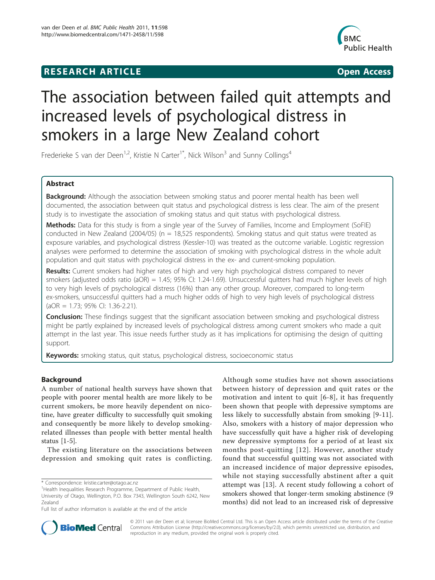# **RESEARCH ARTICLE Example 2018 CONSIDERING ACCESS**



# The association between failed quit attempts and increased levels of psychological distress in smokers in a large New Zealand cohort

Frederieke S van der Deen<sup>1,2</sup>, Kristie N Carter<sup>1\*</sup>, Nick Wilson<sup>3</sup> and Sunny Collings<sup>4</sup>

# Abstract

**Background:** Although the association between smoking status and poorer mental health has been well documented, the association between quit status and psychological distress is less clear. The aim of the present study is to investigate the association of smoking status and quit status with psychological distress.

Methods: Data for this study is from a single year of the Survey of Families, Income and Employment (SoFIE) conducted in New Zealand (2004/05) ( $n = 18,525$  respondents). Smoking status and quit status were treated as exposure variables, and psychological distress (Kessler-10) was treated as the outcome variable. Logistic regression analyses were performed to determine the association of smoking with psychological distress in the whole adult population and quit status with psychological distress in the ex- and current-smoking population.

Results: Current smokers had higher rates of high and very high psychological distress compared to never smokers (adjusted odds ratio (aOR) = 1.45; 95% CI: 1.24-1.69). Unsuccessful quitters had much higher levels of high to very high levels of psychological distress (16%) than any other group. Moreover, compared to long-term ex-smokers, unsuccessful quitters had a much higher odds of high to very high levels of psychological distress (aOR = 1.73; 95% CI: 1.36-2.21).

**Conclusion:** These findings suggest that the significant association between smoking and psychological distress might be partly explained by increased levels of psychological distress among current smokers who made a quit attempt in the last year. This issue needs further study as it has implications for optimising the design of quitting support.

**Keywords:** smoking status, quit status, psychological distress, socioeconomic status

# Background

A number of national health surveys have shown that people with poorer mental health are more likely to be current smokers, be more heavily dependent on nicotine, have greater difficulty to successfully quit smoking and consequently be more likely to develop smokingrelated illnesses than people with better mental health status [[1-5\]](#page-6-0).

The existing literature on the associations between depression and smoking quit rates is conflicting.

Although some studies have not shown associations between history of depression and quit rates or the motivation and intent to quit [[6-8\]](#page-6-0), it has frequently been shown that people with depressive symptoms are less likely to successfully abstain from smoking [[9](#page-6-0)-[11](#page-6-0)]. Also, smokers with a history of major depression who have successfully quit have a higher risk of developing new depressive symptoms for a period of at least six months post-quitting [[12\]](#page-6-0). However, another study found that successful quitting was not associated with an increased incidence of major depressive episodes, while not staying successfully abstinent after a quit attempt was [[13](#page-6-0)]. A recent study following a cohort of smokers showed that longer-term smoking abstinence (9 months) did not lead to an increased risk of depressive



© 2011 van der Deen et al; licensee BioMed Central Ltd. This is an Open Access article distributed under the terms of the Creative Commons Attribution License [\(http://creativecommons.org/licenses/by/2.0](http://creativecommons.org/licenses/by/2.0)), which permits unrestricted use, distribution, and reproduction in any medium, provided the original work is properly cited.

<sup>\*</sup> Correspondence: [kristie.carter@otago.ac.nz](mailto:kristie.carter@otago.ac.nz)

<sup>&</sup>lt;sup>1</sup> Health Inequalities Research Programme, Department of Public Health, University of Otago, Wellington, P.O. Box 7343, Wellington South 6242, New Zealand

Full list of author information is available at the end of the article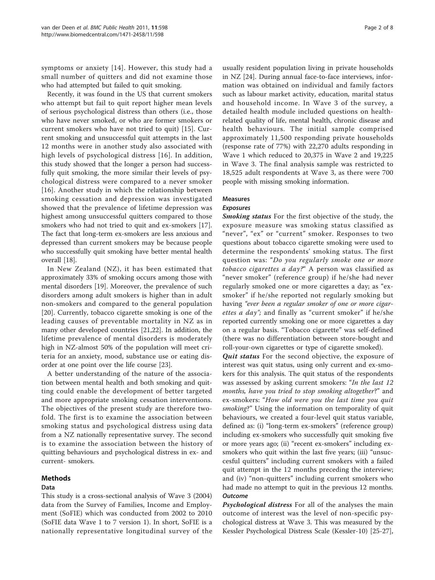symptoms or anxiety [[14](#page-6-0)]. However, this study had a small number of quitters and did not examine those who had attempted but failed to quit smoking.

Recently, it was found in the US that current smokers who attempt but fail to quit report higher mean levels of serious psychological distress than others (i.e., those who have never smoked, or who are former smokers or current smokers who have not tried to quit) [[15\]](#page-6-0). Current smoking and unsuccessful quit attempts in the last 12 months were in another study also associated with high levels of psychological distress [[16](#page-6-0)]. In addition, this study showed that the longer a person had successfully quit smoking, the more similar their levels of psychological distress were compared to a never smoker [[16](#page-6-0)]. Another study in which the relationship between smoking cessation and depression was investigated showed that the prevalence of lifetime depression was highest among unsuccessful quitters compared to those smokers who had not tried to quit and ex-smokers [\[17](#page-6-0)]. The fact that long-term ex-smokers are less anxious and depressed than current smokers may be because people who successfully quit smoking have better mental health overall [\[18\]](#page-6-0).

In New Zealand (NZ), it has been estimated that approximately 33% of smoking occurs among those with mental disorders [[19](#page-6-0)]. Moreover, the prevalence of such disorders among adult smokers is higher than in adult non-smokers and compared to the general population [[20\]](#page-6-0). Currently, tobacco cigarette smoking is one of the leading causes of preventable mortality in NZ as in many other developed countries [\[21,22\]](#page-6-0). In addition, the lifetime prevalence of mental disorders is moderately high in NZ-almost 50% of the population will meet criteria for an anxiety, mood, substance use or eating disorder at one point over the life course [[23\]](#page-6-0).

A better understanding of the nature of the association between mental health and both smoking and quitting could enable the development of better targeted and more appropriate smoking cessation interventions. The objectives of the present study are therefore twofold. The first is to examine the association between smoking status and psychological distress using data from a NZ nationally representative survey. The second is to examine the association between the history of quitting behaviours and psychological distress in ex- and current- smokers.

# **Methods**

# Data

This study is a cross-sectional analysis of Wave 3 (2004) data from the Survey of Families, Income and Employment (SoFIE) which was conducted from 2002 to 2010 (SoFIE data Wave 1 to 7 version 1). In short, SoFIE is a nationally representative longitudinal survey of the

usually resident population living in private households in NZ [\[24\]](#page-6-0). During annual face-to-face interviews, information was obtained on individual and family factors such as labour market activity, education, marital status and household income. In Wave 3 of the survey, a detailed health module included questions on healthrelated quality of life, mental health, chronic disease and health behaviours. The initial sample comprised approximately 11,500 responding private households (response rate of 77%) with 22,270 adults responding in Wave 1 which reduced to 20,375 in Wave 2 and 19,225 in Wave 3. The final analysis sample was restricted to 18,525 adult respondents at Wave 3, as there were 700 people with missing smoking information.

# Measures

## Exposures

Smoking status For the first objective of the study, the exposure measure was smoking status classified as "never", "ex" or "current" smoker. Responses to two questions about tobacco cigarette smoking were used to determine the respondents' smoking status. The first question was: "Do you regularly smoke one or more tobacco cigarettes a day?" A person was classified as "never smoker" (reference group) if he/she had never regularly smoked one or more cigarettes a day; as "exsmoker" if he/she reported not regularly smoking but having "ever been a regular smoker of one or more cigarettes a day"; and finally as "current smoker" if he/she reported currently smoking one or more cigarettes a day on a regular basis. "Tobacco cigarette" was self-defined (there was no differentiation between store-bought and roll-your-own cigarettes or type of cigarette smoked).

Quit status For the second objective, the exposure of interest was quit status, using only current and ex-smokers for this analysis. The quit status of the respondents was assessed by asking current smokers: "In the last 12 months, have you tried to stop smoking altogether?" and ex-smokers: "How old were you the last time you quit smoking?" Using the information on temporality of quit behaviours, we created a four-level quit status variable, defined as: (i) "long-term ex-smokers" (reference group) including ex-smokers who successfully quit smoking five or more years ago; (ii) "recent ex-smokers" including exsmokers who quit within the last five years; (iii) "unsuccesful quitters" including current smokers with a failed quit attempt in the 12 months preceding the interview; and (iv) "non-quitters" including current smokers who had made no attempt to quit in the previous 12 months. **Outcome** 

Psychological distress For all of the analyses the main outcome of interest was the level of non-specific psychological distress at Wave 3. This was measured by the Kessler Psychological Distress Scale (Kessler-10) [\[25-27](#page-6-0)],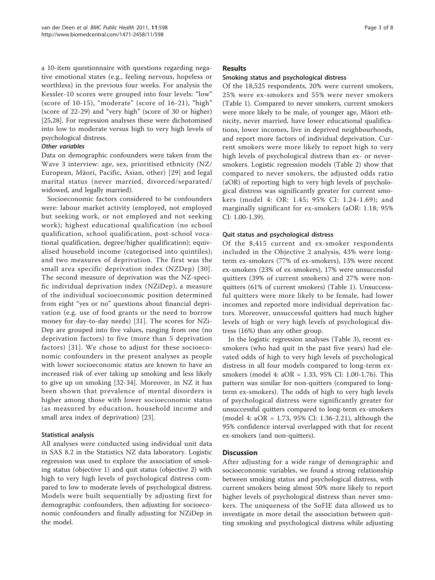a 10-item questionnaire with questions regarding negative emotional states (e.g., feeling nervous, hopeless or worthless) in the previous four weeks. For analysis the Kessler-10 scores were grouped into four levels: "low" (score of 10-15), "moderate" (score of 16-21), "high" (score of 22-29) and "very high" (score of 30 or higher) [[25,28\]](#page-6-0). For regression analyses these were dichotomised into low to moderate versus high to very high levels of psychological distress.

#### Other variables

Data on demographic confounders were taken from the Wave 3 interview: age, sex, prioritised ethnicity (NZ/ European, Māori, Pacific, Asian, other) [[29\]](#page-6-0) and legal marital status (never married, divorced/separated/ widowed, and legally married).

Socioeconomic factors considered to be confounders were: labour market activity (employed, not employed but seeking work, or not employed and not seeking work); highest educational qualification (no school qualification, school qualification, post-school vocational qualification, degree/higher qualification); equivalised household income (categorised into quintiles); and two measures of deprivation. The first was the small area specific deprivation index (NZDep) [[30\]](#page-6-0). The second measure of deprivation was the NZ-specific individual deprivation index (NZiDep), a measure of the individual socioeconomic position determined from eight "yes or no" questions about financial deprivation (e.g. use of food grants or the need to borrow money for day-to-day needs) [\[31](#page-6-0)]. The scores for NZi-Dep are grouped into five values, ranging from one (no deprivation factors) to five (more than 5 deprivation factors) [[31\]](#page-6-0). We chose to adjust for these socioeconomic confounders in the present analyses as people with lower socioeconomic status are known to have an increased risk of ever taking up smoking and less likely to give up on smoking [\[32](#page-6-0)-[34\]](#page-6-0). Moreover, in NZ it has been shown that prevalence of mental disorders is higher among those with lower socioeconomic status (as measured by education, household income and small area index of deprivation) [\[23](#page-6-0)].

# Statistical analysis

All analyses were conducted using individual unit data in SAS 8.2 in the Statistics NZ data laboratory. Logistic regression was used to explore the association of smoking status (objective 1) and quit status (objective 2) with high to very high levels of psychological distress compared to low to moderate levels of psychological distress. Models were built sequentially by adjusting first for demographic confounders, then adjusting for socioeconomic confounders and finally adjusting for NZiDep in the model.

## Results

#### Smoking status and psychological distress

Of the 18,525 respondents, 20% were current smokers, 25% were ex-smokers and 55% were never smokers (Table [1](#page-3-0)). Compared to never smokers, current smokers were more likely to be male, of younger age, Māori ethnicity, never married, have lower educational qualifications, lower incomes, live in deprived neighbourhoods, and report more factors of individual deprivation. Current smokers were more likely to report high to very high levels of psychological distress than ex- or neversmokers. Logistic regression models (Table [2\)](#page-4-0) show that compared to never smokers, the adjusted odds ratio (aOR) of reporting high to very high levels of psychological distress was significantly greater for current smokers (model 4: OR: 1.45; 95% CI: 1.24-1.69); and marginally significant for ex-smokers (aOR: 1.18; 95% CI: 1.00-1.39).

## Quit status and psychological distress

Of the 8,415 current and ex-smoker respondents included in the Objective 2 analysis, 43% were longterm ex-smokers (77% of ex-smokers), 13% were recent ex-smokers (23% of ex-smokers), 17% were unsuccessful quitters (39% of current smokers) and 27% were nonquitters (61% of current smokers) (Table [1](#page-3-0)). Unsuccessful quitters were more likely to be female, had lower incomes and reported more individual deprivation factors. Moreover, unsuccessful quitters had much higher levels of high or very high levels of psychological distress (16%) than any other group.

In the logistic regression analyses (Table [3](#page-4-0)), recent exsmokers (who had quit in the past five years) had elevated odds of high to very high levels of psychological distress in all four models compared to long-term exsmokers (model 4: aOR = 1.33, 95% CI: 1.00-1.76). This pattern was similar for non-quitters (compared to longterm ex-smokers). The odds of high to very high levels of psychological distress were significantly greater for unsuccessful quitters compared to long-term ex-smokers (model 4: aOR = 1.73, 95% CI: 1.36-2.21), although the 95% confidence interval overlapped with that for recent ex-smokers (and non-quitters).

# **Discussion**

After adjusting for a wide range of demographic and socioeconomic variables, we found a strong relationship between smoking status and psychological distress, with current smokers being almost 50% more likely to report higher levels of psychological distress than never smokers. The uniqueness of the SoFIE data allowed us to investigate in more detail the association between quitting smoking and psychological distress while adjusting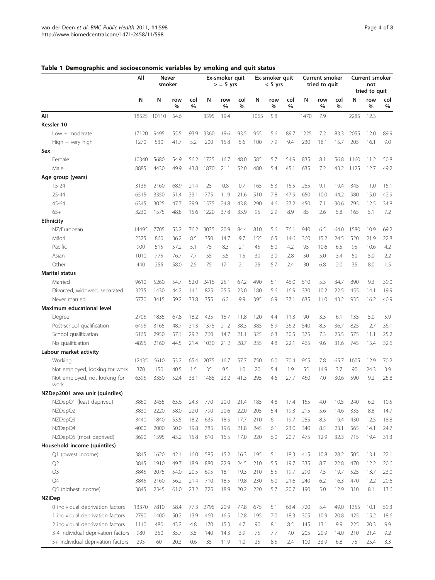|                                       | All   | <b>Never</b><br>smoker |             |             | Ex-smoker quit<br>$>$ = 5 yrs |             | Ex-smoker quit<br>$< 5$ yrs |      |             | <b>Current smoker</b><br>tried to quit |      |             | Current smoker<br>not |      |                              |             |
|---------------------------------------|-------|------------------------|-------------|-------------|-------------------------------|-------------|-----------------------------|------|-------------|----------------------------------------|------|-------------|-----------------------|------|------------------------------|-------------|
|                                       | N     | N                      | row<br>$\%$ | col<br>$\%$ | N                             | row<br>$\%$ | col<br>$\%$                 | N    | row<br>$\%$ | col<br>$\%$                            | N    | row<br>$\%$ | col<br>$\%$           | N    | tried to quit<br>row<br>$\%$ | col<br>$\%$ |
| All                                   | 18525 | 10110                  | 54.6        |             | 3595                          | 19.4        |                             | 1065 | 5.8         |                                        | 1470 | 7.9         |                       | 2285 | 12.3                         |             |
| Kessler 10                            |       |                        |             |             |                               |             |                             |      |             |                                        |      |             |                       |      |                              |             |
| $Low + moderate$                      | 17120 | 9495                   | 55.5        | 93.9        | 3360                          | 19.6        | 93.5                        | 955  | 5.6         | 89.7                                   | 1225 | 7.2         | 83.3                  | 2055 | 12.0                         | 89.9        |
| $High + very high$                    | 1270  | 530                    | 41.7        | 5.2         | 200                           | 15.8        | 5.6                         | 100  | 7.9         | 9.4                                    | 230  | 18.1        | 15.7                  | 205  | 16.1                         | 9.0         |
| Sex                                   |       |                        |             |             |                               |             |                             |      |             |                                        |      |             |                       |      |                              |             |
| Female                                | 10340 | 5680                   | 54.9        | 56.2        | 1725                          | 16.7        | 48.0                        | 585  | 5.7         | 54.9                                   | 835  | 8.1         | 56.8                  | 1160 | 11.2                         | 50.8        |
| Male                                  | 8885  | 4430                   | 49.9        | 43.8        | 1870                          | 21.1        | 52.0                        | 480  | 5.4         | 45.1                                   | 635  | 7.2         | 43.2                  | 1125 | 12.7                         | 49.2        |
| Age group (years)                     |       |                        |             |             |                               |             |                             |      |             |                                        |      |             |                       |      |                              |             |
| $15 - 24$                             | 3135  | 2160                   | 68.9        | 21.4        | 25                            | 0.8         | 0.7                         | 165  | 5.3         | 15.5                                   | 285  | 9.1         | 19.4                  | 345  | 11.0                         | 15.1        |
| 25-44                                 | 6515  | 3350                   | 51.4        | 33.1        | 775                           | 11.9        | 21.6                        | 510  | 7.8         | 47.9                                   | 650  | 10.0        | 44.2                  | 980  | 15.0                         | 42.9        |
| 45-64                                 | 6345  | 3025                   | 47.7        | 29.9        | 1575                          | 24.8        | 43.8                        | 290  | 4.6         | 27.2                                   | 450  | 7.1         | 30.6                  | 795  | 12.5                         | 34.8        |
| $65+$                                 | 3230  | 1575                   | 48.8        | 15.6        | 1220                          | 37.8        | 33.9                        | 95   | 2.9         | 8.9                                    | 85   | 2.6         | 5.8                   | 165  | 5.1                          | 7.2         |
| <b>Ethnicity</b>                      |       |                        |             |             |                               |             |                             |      |             |                                        |      |             |                       |      |                              |             |
| NZ/European                           | 14495 | 7705                   | 53.2        | 76.2        | 3035                          | 20.9        | 84.4                        | 810  | 5.6         | 76.1                                   | 940  | 6.5         | 64.0                  | 1580 | 10.9                         | 69.2        |
| Māori                                 | 2375  | 860                    | 36.2        | 8.5         | 350                           | 14.7        | 9.7                         | 155  | 6.5         | 14.6                                   | 360  | 15.2        | 24.5                  | 520  | 21.9                         | 22.8        |
| Pacific                               | 900   | 515                    | 57.2        | 5.1         | 75                            | 8.3         | 2.1                         | 45   | 5.0         | 4.2                                    | 95   | 10.6        | 6.5                   | 95   | 10.6                         | 4.2         |
| Asian                                 | 1010  | 775                    | 76.7        | 7.7         | 55                            | 5.5         | 1.5                         | 30   | 3.0         | 2.8                                    | 50   | 5.0         | 3.4                   | 50   | 5.0                          | 2.2         |
| Other                                 | 440   | 255                    | 58.0        | 2.5         | 75                            | 17.1        | 2.1                         | 25   | 5.7         | 2.4                                    | 30   | 6.8         | 2.0                   | 35   | 8.0                          | 1.5         |
| <b>Marital status</b>                 |       |                        |             |             |                               |             |                             |      |             |                                        |      |             |                       |      |                              |             |
| Married                               | 9610  | 5260                   | 54.7        | 52.0        | 2415                          | 25.1        | 67.2                        | 490  | 5.1         | 46.0                                   | 510  | 5.3         | 34.7                  | 890  | 9.3                          | 39.0        |
| Divorced, widowed, separated          | 3235  | 1430                   | 44.2        | 14.1        | 825                           | 25.5        | 23.0                        | 180  | 5.6         | 16.9                                   | 330  | 10.2        | 22.5                  | 455  | 14.1                         | 19.9        |
| Never married                         | 5770  | 3415                   | 59.2        | 33.8        | 355                           | 6.2         | 9.9                         | 395  | 6.9         | 37.1                                   | 635  | 11.0        | 43.2                  | 935  | 16.2                         | 40.9        |
| Maximum educational level             |       |                        |             |             |                               |             |                             |      |             |                                        |      |             |                       |      |                              |             |
|                                       | 2705  | 1835                   | 67.8        | 18.2        | 425                           | 15.7        | 11.8                        | 120  | 4.4         | 11.3                                   | 90   | 3.3         | 6.1                   | 135  | 5.0                          | 5.9         |
| Degree<br>Post-school qualification   | 6495  | 3165                   | 48.7        | 31.3        | 1375                          | 21.2        | 38.3                        | 385  | 5.9         | 36.2                                   | 540  | 8.3         | 36.7                  | 825  | 12.7                         | 36.1        |
| School qualification                  | 5165  | 2950                   | 57.1        | 29.2        | 760                           | 14.7        | 21.1                        | 325  | 6.3         | 30.5                                   | 375  | 7.3         | 25.5                  | 575  | 11.1                         | 25.2        |
| No qualification                      | 4855  | 2160                   | 44.5        | 21.4        | 1030                          | 21.2        | 28.7                        | 235  | 4.8         | 22.1                                   | 465  | 9.6         | 31.6                  | 745  | 15.4                         | 32.6        |
| Labour market activity                |       |                        |             |             |                               |             |                             |      |             |                                        |      |             |                       |      |                              |             |
| Working                               | 12435 | 6610                   | 53.2        | 65.4        | 2075                          | 16.7        | 57.7                        | 750  | 6.0         | 70.4                                   | 965  | 7.8         | 65.7                  | 1605 | 12.9                         | 70.2        |
| Not employed, looking for work        | 370   | 150                    | 40.5        | 1.5         | 35                            | 9.5         | 1.0                         | 20   | 5.4         | 1.9                                    | 55   | 14.9        | 3.7                   | 90   | 24.3                         | 3.9         |
| Not employed, not looking for<br>work | 6395  | 3350                   | 52.4        | 33.1        | 1485                          | 23.2        | 41.3                        | 295  | 4.6         | 27.7                                   | 450  | 7.0         | 30.6                  | 590  | 9.2                          | 25.8        |
| NZDep2001 area unit (quintiles)       |       |                        |             |             |                               |             |                             |      |             |                                        |      |             |                       |      |                              |             |
| NZDepQ1 (least deprived)              | 3860  | 2455                   | 63.6        | 24.3        | 770                           | 20.0        | 21.4                        | 185  | 4.8         | 17.4                                   | 155  | 4.0         | 10.5                  | 240  | 6.2                          | 10.5        |
| NZDepQ2                               | 3830  | 2220                   | 58.0        | 22.0        | 790                           | 20.6        | 22.0                        | 205  | 5.4         | 19.3                                   | 215  | 5.6         | 14.6                  | 335  | 8.8                          | 14.7        |
| NZDepQ3                               | 3440  | 1840                   | 53.5        | 18.2        | 635                           | 18.5        | 17.7                        | 210  | 6.1         | 19.7                                   | 285  | 8.3         | 19.4                  | 430  | 12.5                         | 18.8        |
| NZDepQ4                               | 4000  | 2000                   | 50.0        | 19.8        | 785                           | 19.6        | 21.8                        | 245  | 6.1         | 23.0                                   | 340  | 8.5         | 23.1                  | 565  | 14.1                         | 24.7        |
| NZDepQ5 (most deprived)               | 3690  | 1595                   | 43.2        | 15.8        | 610                           | 16.5        | 17.0                        | 220  | 6.0         | 20.7                                   | 475  | 12.9        | 32.3                  | 715  | 19.4                         | 31.3        |
| Household income (quintiles)          |       |                        |             |             |                               |             |                             |      |             |                                        |      |             |                       |      |                              |             |
| Q1 (lowest income)                    | 3845  | 1620                   | 42.1        | 16.0        | 585                           | 15.2        | 16.3                        | 195  | 5.1         | 18.3                                   | 415  | 10.8        | 28.2                  | 505  | 13.1                         | 22.1        |
| Q2                                    | 3845  | 1910                   | 49.7        | 18.9        | 880                           | 22.9        | 24.5                        | 210  | 5.5         | 19.7                                   | 335  | 8.7         | 22.8                  | 470  | 12.2                         | 20.6        |
| Q <sub>3</sub>                        | 3845  | 2075                   | 54.0        | 20.5        | 695                           | 18.1        | 19.3                        | 210  | 5.5         | 19.7                                   | 290  | 7.5         | 19.7                  | 525  | 13.7                         | 23.0        |
| Q4                                    | 3845  | 2160                   | 56.2        | 21.4        | 710                           | 18.5        | 19.8                        | 230  | 6.0         | 21.6                                   | 240  | 6.2         | 16.3                  | 470  | 12.2                         | 20.6        |
| Q5 (highest income)                   | 3845  | 2345                   | 61.0        | 23.2        | 725                           | 18.9        | 20.2                        | 220  | 5.7         | 20.7                                   | 190  | 5.0         | 12.9                  | 310  | 8.1                          | 13.6        |
| <b>NZiDep</b>                         |       |                        |             |             |                               |             |                             |      |             |                                        |      |             |                       |      |                              |             |
| 0 individual deprivation factors      | 13370 | 7810                   | 58.4        | 77.3        | 2795                          | 20.9        | 77.8                        | 675  | 5.1         | 63.4                                   | 720  | 5.4         | 49.0                  | 1355 | 10.1                         | 59.3        |
| 1 individual deprivation factors      | 2790  | 1400                   | 50.2        | 13.9        | 460                           | 16.5        | 12.8                        | 195  | 7.0         | 18.3                                   | 305  | 10.9        | 20.8                  | 425  | 15.2                         | 18.6        |
| 2 individual deprivation factors      | 1110  | 480                    | 43.2        | 4.8         | 170                           | 15.3        | 4.7                         | 90   | 8.1         | 8.5                                    | 145  | 13.1        | 9.9                   | 225  | 20.3                         | 9.9         |
| 3-4 individual deprivation factors    | 980   | 350                    | 35.7        | 3.5         | 140                           | 14.3        | 3.9                         | 75   | 7.7         | 7.0                                    | 205  | 20.9        | 14.0                  | 210  | 21.4                         | 9.2         |
| 5+ individual deprivation factors     | 295   | 60                     | 20.3        | 0.6         | 35                            | 11.9        | 1.0                         | 25   | 8.5         | 2.4                                    | 100  | 33.9        | 6.8                   | 75   | 25.4                         | 3.3         |

# <span id="page-3-0"></span>Table 1 Demographic and socioeconomic variables by smoking and quit status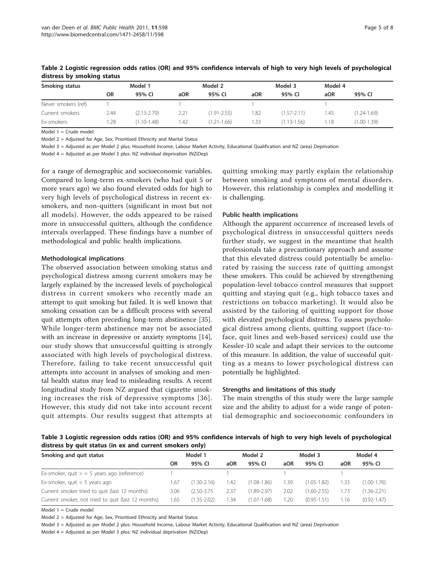| Smoking status      |      | Model 1         |      | Model 2         |      | Model 3         |      | Model 4         |  |  |
|---------------------|------|-----------------|------|-----------------|------|-----------------|------|-----------------|--|--|
|                     | OR   | 95% CI          | aOR  | 95% CI          | aOR  | 95% CI          | aOR  | 95% CI          |  |  |
| Never smokers (ref) |      |                 |      |                 |      |                 |      |                 |  |  |
| Current smokers     | 2.44 | $(2.13 - 2.79)$ | 2.21 | $(1.91 - 2.55)$ | 1.82 | $(1.57 - 2.11)$ | 1.45 | $(1.24 - 1.69)$ |  |  |
| Ex-smokers          | 1.28 | $(1.10 - 1.48)$ | 1.42 | $(1.21 - 1.66)$ | 1.33 | $(1.13 - 1.56)$ | 1.18 | $(1.00 - 1.39)$ |  |  |

<span id="page-4-0"></span>Table 2 Logistic regression odds ratios (OR) and 95% confidence intervals of high to very high levels of psychological distress by smoking status

Model  $1 =$  Crude model

Model 2 = Adjusted for Age, Sex, Prioritised Ethnicity and Marital Status

Model 3 = Adjusted as per Model 2 plus: Household Income, Labour Market Activity, Educational Qualification and NZ (area) Deprivation

Model 4 = Adjusted as per Model 3 plus: NZ individual deprivation (NZiDep)

for a range of demographic and socioeconomic variables. Compared to long-term ex-smokers (who had quit 5 or more years ago) we also found elevated odds for high to very high levels of psychological distress in recent exsmokers, and non-quitters (significant in most but not all models). However, the odds appeared to be raised more in unsuccessful quitters, although the confidence intervals overlapped. These findings have a number of methodological and public health implications.

#### Methodological implications

The observed association between smoking status and psychological distress among current smokers may be largely explained by the increased levels of psychological distress in current smokers who recently made an attempt to quit smoking but failed. It is well known that smoking cessation can be a difficult process with several quit attempts often preceding long-term abstinence [\[35](#page-6-0)]. While longer-term abstinence may not be associated with an increase in depressive or anxiety symptoms [\[14](#page-6-0)], our study shows that unsuccessful quitting is strongly associated with high levels of psychological distress. Therefore, failing to take recent unsuccessful quit attempts into account in analyses of smoking and mental health status may lead to misleading results. A recent longitudinal study from NZ argued that cigarette smoking increases the risk of depressive symptoms [[36\]](#page-6-0). However, this study did not take into account recent quit attempts. Our results suggest that attempts at

quitting smoking may partly explain the relationship between smoking and symptoms of mental disorders. However, this relationship is complex and modelling it is challenging.

#### Public health implications

Although the apparent occurrence of increased levels of psychological distress in unsuccessful quitters needs further study, we suggest in the meantime that health professionals take a precautionary approach and assume that this elevated distress could potentially be ameliorated by raising the success rate of quitting amongst these smokers. This could be achieved by strengthening population-level tobacco control measures that support quitting and staying quit (e.g., high tobacco taxes and restrictions on tobacco marketing). It would also be assisted by the tailoring of quitting support for those with elevated psychological distress. To assess psychological distress among clients, quitting support (face-toface, quit lines and web-based services) could use the Kessler-10 scale and adapt their services to the outcome of this measure. In addition, the value of successful quitting as a means to lower psychological distress can potentially be highlighted.

#### Strengths and limitations of this study

The main strengths of this study were the large sample size and the ability to adjust for a wide range of potential demographic and socioeconomic confounders in

Table 3 Logistic regression odds ratios (OR) and 95% confidence intervals of high to very high levels of psychological distress by quit status (in ex and current smokers only)

|      |                 |         |                 |         |                 | Model 4 |                 |  |
|------|-----------------|---------|-----------------|---------|-----------------|---------|-----------------|--|
| OR   | 95% CI          | aOR     | 95% CI          | aOR     | 95% CI          | aOR     | 95% CI          |  |
|      |                 |         |                 |         |                 |         |                 |  |
| 1.67 | $(1.30 - 2.16)$ | 1.42    | $(1.08 - 1.86)$ | 1.39    | $(1.05 - 1.82)$ | 1.33    | $(1.00 - 1.76)$ |  |
| 3.06 | $(2.50 - 3.75)$ | 2.37    | $(1.89 - 2.97)$ | 2.02    | $(1.60 - 2.55)$ | 1.73    | $(1.36 - 2.21)$ |  |
| 1.65 | $(1.35 - 2.02)$ | .34     | $(1.07 - 1.68)$ | 1.20    | $(0.95 - 1.51)$ | 1.16    | $(0.92 - 1.47)$ |  |
|      |                 | Model 1 |                 | Model 2 |                 | Model 3 |                 |  |

Model  $1 =$  Crude model

Model 2 = Adjusted for Age, Sex, Prioritised Ethnicity and Marital Status

Model 3 = Adjusted as per Model 2 plus: Household Income, Labour Market Activity, Educational Qualification and NZ (area) Deprivation

Model 4 = Adjusted as per Model 3 plus: NZ individual deprivation (NZiDep)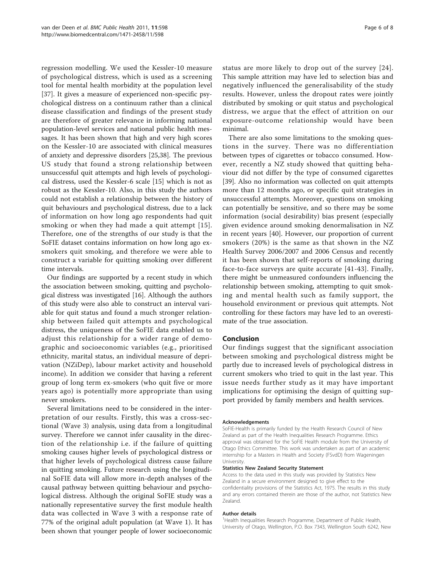regression modelling. We used the Kessler-10 measure of psychological distress, which is used as a screening tool for mental health morbidity at the population level [[37\]](#page-7-0). It gives a measure of experienced non-specific psychological distress on a continuum rather than a clinical disease classification and findings of the present study are therefore of greater relevance in informing national population-level services and national public health messages. It has been shown that high and very high scores on the Kessler-10 are associated with clinical measures of anxiety and depressive disorders [[25](#page-6-0),[38](#page-7-0)]. The previous US study that found a strong relationship between unsuccessful quit attempts and high levels of psychological distress, used the Kessler-6 scale [[15\]](#page-6-0) which is not as robust as the Kessler-10. Also, in this study the authors could not establish a relationship between the history of quit behaviours and psychological distress, due to a lack of information on how long ago respondents had quit smoking or when they had made a quit attempt [[15\]](#page-6-0). Therefore, one of the strengths of our study is that the SoFIE dataset contains information on how long ago exsmokers quit smoking, and therefore we were able to construct a variable for quitting smoking over different time intervals.

Our findings are supported by a recent study in which the association between smoking, quitting and psychological distress was investigated [\[16](#page-6-0)]. Although the authors of this study were also able to construct an interval variable for quit status and found a much stronger relationship between failed quit attempts and psychological distress, the uniqueness of the SoFIE data enabled us to adjust this relationship for a wider range of demographic and socioeconomic variables (e.g., prioritised ethnicity, marital status, an individual measure of deprivation (NZiDep), labour market activity and household income). In addition we consider that having a referent group of long term ex-smokers (who quit five or more years ago) is potentially more appropriate than using never smokers.

Several limitations need to be considered in the interpretation of our results. Firstly, this was a cross-sectional (Wave 3) analysis, using data from a longitudinal survey. Therefore we cannot infer causality in the direction of the relationship i.e. if the failure of quitting smoking causes higher levels of psychological distress or that higher levels of psychological distress cause failure in quitting smoking. Future research using the longitudinal SoFIE data will allow more in-depth analyses of the causal pathway between quitting behaviour and psychological distress. Although the original SoFIE study was a nationally representative survey the first module health data was collected in Wave 3 with a response rate of 77% of the original adult population (at Wave 1). It has been shown that younger people of lower socioeconomic status are more likely to drop out of the survey [[24\]](#page-6-0). This sample attrition may have led to selection bias and negatively influenced the generalisability of the study results. However, unless the dropout rates were jointly distributed by smoking or quit status and psychological distress, we argue that the effect of attrition on our exposure-outcome relationship would have been minimal.

There are also some limitations to the smoking questions in the survey. There was no differentiation between types of cigarettes or tobacco consumed. However, recently a NZ study showed that quitting behaviour did not differ by the type of consumed cigarettes [[39\]](#page-7-0). Also no information was collected on quit attempts more than 12 months ago, or specific quit strategies in unsuccessful attempts. Moreover, questions on smoking can potentially be sensitive, and so there may be some information (social desirability) bias present (especially given evidence around smoking denormalisation in NZ in recent years [[40\]](#page-7-0). However, our proportion of current smokers (20%) is the same as that shown in the NZ Health Survey 2006/2007 and 2006 Census and recently it has been shown that self-reports of smoking during face-to-face surveys are quite accurate [\[41](#page-7-0)-[43](#page-7-0)]. Finally, there might be unmeasured confounders influencing the relationship between smoking, attempting to quit smoking and mental health such as family support, the household environment or previous quit attempts. Not controlling for these factors may have led to an overestimate of the true association.

# Conclusion

Our findings suggest that the significant association between smoking and psychological distress might be partly due to increased levels of psychological distress in current smokers who tried to quit in the last year. This issue needs further study as it may have important implications for optimising the design of quitting support provided by family members and health services.

#### Acknowledgements

SoFIE-Health is primarily funded by the Health Research Council of New Zealand as part of the Health Inequalities Research Programme. Ethics approval was obtained for the SoFIE Health module from the University of Otago Ethics Committee. This work was undertaken as part of an academic internship for a Masters in Health and Society (FSvdD) from Wageningen **University** 

#### Statistics New Zealand Security Statement

Access to the data used in this study was provided by Statistics New Zealand in a secure environment designed to give effect to the confidentiality provisions of the Statistics Act, 1975. The results in this study and any errors contained therein are those of the author, not Statistics New Zealand.

#### Author details

<sup>1</sup> Health Inequalities Research Programme, Department of Public Health University of Otago, Wellington, P.O. Box 7343, Wellington South 6242, New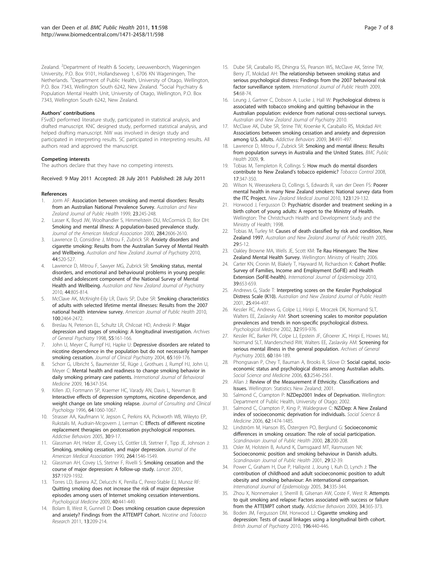<span id="page-6-0"></span>Zealand. <sup>2</sup>Department of Health & Society, Leeuwenborch, Wageningen University, P.O. Box 9101, Hollandseweg 1, 6706 KN Wageningen, The Netherlands. <sup>3</sup>Department of Public Health, University of Otago, Wellington, P.O. Box 7343, Wellington South 6242, New Zealand. <sup>4</sup>Social Psychiatry & Population Mental Health Unit, University of Otago, Wellington, P.O. Box 7343, Wellington South 6242, New Zealand.

#### Authors' contributions

FSvdD performed literature study, participated in statistical analysis, and drafted manuscript. KNC designed study, performed statistical analysis, and helped drafting manuscript. NW was involved in design study and participated in interpreting results. SC participated in interpreting results. All authors read and approved the manuscript.

#### Competing interests

The authors declare that they have no competing interests.

Received: 9 May 2011 Accepted: 28 July 2011 Published: 28 July 2011

#### References

- Jorm AF: [Association between smoking and mental disorders: Results](http://www.ncbi.nlm.nih.gov/pubmed/10388166?dopt=Abstract) [from an Australian National Prevalence Survey.](http://www.ncbi.nlm.nih.gov/pubmed/10388166?dopt=Abstract) Australian and New Zealand Journal of Public Health 1999, 23:245-248.
- 2. Lasser K, Boyd JW, Woolhandler S, Himmelstein DU, McCormick D, Bor DH: [Smoking and mental illness: A population-based prevalence study.](http://www.ncbi.nlm.nih.gov/pubmed/11086367?dopt=Abstract) Journal of the American Medical Association 2000, 284:2606-2610.
- Lawrence D, Considine J, Mitrou F, Zubrick SR: [Anxiety disorders and](http://www.ncbi.nlm.nih.gov/pubmed/20482412?dopt=Abstract) [cigarette smoking: Results from the Australian Survey of Mental Health](http://www.ncbi.nlm.nih.gov/pubmed/20482412?dopt=Abstract) [and Wellbeing.](http://www.ncbi.nlm.nih.gov/pubmed/20482412?dopt=Abstract) Australian and New Zealand Journal of Psychiatry 2010, 44:520-527.
- 4. Lawrence D, Mitrou F, Sawyer MG, Zubrick SR: [Smoking status, mental](http://www.ncbi.nlm.nih.gov/pubmed/20815667?dopt=Abstract) [disorders, and emotional and behavioural problems in young people:](http://www.ncbi.nlm.nih.gov/pubmed/20815667?dopt=Abstract) [child and adolescent component of the National Survey of Mental](http://www.ncbi.nlm.nih.gov/pubmed/20815667?dopt=Abstract) [Health and Wellbeing.](http://www.ncbi.nlm.nih.gov/pubmed/20815667?dopt=Abstract) Australian and New Zealand Journal of Psychiatry 2010, 44:805-814.
- 5. McClave AK, McKnight-Eily LR, Davis SP, Dube SR: [Smoking characteristics](http://www.ncbi.nlm.nih.gov/pubmed/20966369?dopt=Abstract) [of adults with selected lifetime mental illnesses: Results from the 2007](http://www.ncbi.nlm.nih.gov/pubmed/20966369?dopt=Abstract) [national health interview survey.](http://www.ncbi.nlm.nih.gov/pubmed/20966369?dopt=Abstract) American Journal of Public Health 2010, 100:2464-2472.
- 6. Breslau N, Peterson EL, Schultz LR, Chilcoat HD, Andreski P: [Major](http://www.ncbi.nlm.nih.gov/pubmed/9477930?dopt=Abstract) [depression and stages of smoking: A longitudinal investigation.](http://www.ncbi.nlm.nih.gov/pubmed/9477930?dopt=Abstract) Archives of General Psychiatry 1998, 55:161-166.
- 7. John U, Meyer C, Rumpf HJ, Hapke U: [Depressive disorders are related to](http://www.ncbi.nlm.nih.gov/pubmed/15003069?dopt=Abstract) [nicotine dependence in the population but do not necessarily hamper](http://www.ncbi.nlm.nih.gov/pubmed/15003069?dopt=Abstract) [smoking cessation.](http://www.ncbi.nlm.nih.gov/pubmed/15003069?dopt=Abstract) Journal of Clinical Psychiatry 2004, 65:169-176.
- 8. Schorr G, Ulbricht S, Baumeister SE, Rüge J, Grothues J, Rumpf HJ, John U, Meyer C: [Mental health and readiness to change smoking behavior in](http://www.ncbi.nlm.nih.gov/pubmed/19199045?dopt=Abstract) [daily smoking primary care patients.](http://www.ncbi.nlm.nih.gov/pubmed/19199045?dopt=Abstract) International Journal of Behavioral Medicine 2009, 16:347-354.
- Killen JD, Fortmann SP, Kraemer HC, Varady AN, Davis L, Newman B: [Interactive effects of depression symptoms, nicotine dependence, and](http://www.ncbi.nlm.nih.gov/pubmed/8916636?dopt=Abstract) [weight change on late smoking relapse.](http://www.ncbi.nlm.nih.gov/pubmed/8916636?dopt=Abstract) Journal of Consulting and Clinical Psychology 1996, 64:1060-1067.
- 10. Strasser AA, Kaufmann V, Jepson C, Perkins KA, Pickworth WB, Wileyto EP, Rukstalis M, Audrain-Mcgovern J, Lerman C: [Effects of different nicotine](http://www.ncbi.nlm.nih.gov/pubmed/15561445?dopt=Abstract) [replacement therapies on postcessation psychological responses.](http://www.ncbi.nlm.nih.gov/pubmed/15561445?dopt=Abstract) Addictive Behaviors 2005, 30:9-17.
- 11. Glassman AH, Helzer JE, Covey LS, Cottler LB, Stetner F, Tipp JE, Johnson J: [Smoking, smoking cessation, and major depression.](http://www.ncbi.nlm.nih.gov/pubmed/2395194?dopt=Abstract) Journal of the American Medical Association 1990, 264:1546-1549.
- 12. Glassman AH, Covey LS, Stetner F, Rivelli S: [Smoking cessation and the](http://www.ncbi.nlm.nih.gov/pubmed/11425414?dopt=Abstract) [course of major depression: A follow-up study.](http://www.ncbi.nlm.nih.gov/pubmed/11425414?dopt=Abstract) Lancet 2001, 357:1929-1932.
- 13. Torres LD, Barrera AZ, Delucchi K, Penilla C, Perez-Stable EJ, Munoz RF: [Quitting smoking does not increase the risk of major depressive](http://www.ncbi.nlm.nih.gov/pubmed/19627638?dopt=Abstract) [episodes among users of Internet smoking cessation interventions.](http://www.ncbi.nlm.nih.gov/pubmed/19627638?dopt=Abstract) Psychological Medicine 2009, 40:441-449.
- 14. Bolam B, West R, Gunnell D: [Does smoking cessation cause depression](http://www.ncbi.nlm.nih.gov/pubmed/21330275?dopt=Abstract) [and anxiety? Findings from the ATTEMPT Cohort.](http://www.ncbi.nlm.nih.gov/pubmed/21330275?dopt=Abstract) Nicotine and Tobacco Research 2011, 13:209-214.
- 15. Dube SR, Caraballo RS, Dhingra SS, Pearson WS, McClave AK, Strine TW, Berry JT, Mokdad AH: [The relationship between smoking status and](http://www.ncbi.nlm.nih.gov/pubmed/19396580?dopt=Abstract) [serious psychological distress: Findings from the 2007 behavioral risk](http://www.ncbi.nlm.nih.gov/pubmed/19396580?dopt=Abstract) [factor surveillance system.](http://www.ncbi.nlm.nih.gov/pubmed/19396580?dopt=Abstract) International Journal of Public Health 2009, 54:68-74.
- 16. Leung J, Gartner C, Dobson A, Lucke J, Hall W: Psychological distress is associated with tobacco smoking and quitting behaviour in the Australian population: evidence from national cross-sectional surveys. Australian and New Zealand Journal of Psychiatry 2010.
- 17. McClave AK, Dube SR, Strine TW, Kroenke K, Caraballo RS, Mokdad AH: [Associations between smoking cessation and anxiety and depression](http://www.ncbi.nlm.nih.gov/pubmed/19217720?dopt=Abstract) [among U.S. adults.](http://www.ncbi.nlm.nih.gov/pubmed/19217720?dopt=Abstract) Addictive Behaviors 2009, 34:491-497.
- 18. Lawrence D, Mitrou F, Zubrick SR: Smoking and mental illness: Results from population surveys in Australia and the United States. BMC Public Health 2009, 9.
- 19. Tobias M, Templeton R, Collings S: [How much do mental disorders](http://www.ncbi.nlm.nih.gov/pubmed/18669558?dopt=Abstract) [contribute to New Zealand](http://www.ncbi.nlm.nih.gov/pubmed/18669558?dopt=Abstract)'s tobacco epidemic? Tobacco Control 2008, 17:347-350.
- 20. Wilson N, Weerasekera D, Collings S, Edwards R, van der Deen FS: [Poorer](http://www.ncbi.nlm.nih.gov/pubmed/21326410?dopt=Abstract) [mental health in many New Zealand smokers: National survey data from](http://www.ncbi.nlm.nih.gov/pubmed/21326410?dopt=Abstract) [the ITC Project.](http://www.ncbi.nlm.nih.gov/pubmed/21326410?dopt=Abstract) New Zealand Medical Journal 2010, 123:129-132.
- Horwood J, Fergusson D: Psychiatric disorder and treatment seeking in a birth cohort of young adults: A report to the Ministry of Health. Wellington: The Christchurch Health and Development Study and the Ministry of Health; 1998.
- 22. Tobias M, Turley M: [Causes of death classified by risk and condition, New](http://www.ncbi.nlm.nih.gov/pubmed/15782864?dopt=Abstract) [Zealand 1997.](http://www.ncbi.nlm.nih.gov/pubmed/15782864?dopt=Abstract) Australian and New Zealand Journal of Public Health 2005, 29:5-12.
- 23. Oakley Browne MA, Wells JE, Scott KM: Te Rau Hinengaro: The New Zealand Mental Health Survey. Wellington: Ministry of Health; 2006.
- 24. Carter KN, Cronin M, Blakely T, Hayward M, Richardson K: [Cohort Profile:](http://www.ncbi.nlm.nih.gov/pubmed/19478042?dopt=Abstract) [Survey of Families, Income and Employment \(SoFIE\) and Health](http://www.ncbi.nlm.nih.gov/pubmed/19478042?dopt=Abstract) [Extension \(SoFIE-health\).](http://www.ncbi.nlm.nih.gov/pubmed/19478042?dopt=Abstract) International Journal of Epidemiology 2010, 39:653-659.
- 25. Andrews G, Slade T: [Interpreting scores on the Kessler Psychological](http://www.ncbi.nlm.nih.gov/pubmed/11824981?dopt=Abstract) [Distress Scale \(K10\).](http://www.ncbi.nlm.nih.gov/pubmed/11824981?dopt=Abstract) Australian and New Zealand Journal of Public Health 2001, 25:494-497.
- 26. Kessler RC, Andrews G, Colpe LJ, Hiripi E, Mroczek DK, Normand SLT, Walters EE, Zaslavsky AM: [Short screening scales to monitor population](http://www.ncbi.nlm.nih.gov/pubmed/12214795?dopt=Abstract) [prevalences and trends in non-specific psychological distress.](http://www.ncbi.nlm.nih.gov/pubmed/12214795?dopt=Abstract) Psychological Medicine 2002, 32:959-976.
- 27. Kessler RC, Barker PR, Colpe LJ, Epstein JF, Gfroerer JC, Hiripi E, Howes MJ, Normand SLT, Manderscheid RW, Walters EE, Zaslavsky AM: [Screening for](http://www.ncbi.nlm.nih.gov/pubmed/12578436?dopt=Abstract) [serious mental illness in the general population.](http://www.ncbi.nlm.nih.gov/pubmed/12578436?dopt=Abstract) Archives of General Psychiatry 2003, 60:184-189.
- 28. Phongsavan P, Chey T, Bauman A, Brooks R, Silove D: [Social capital, socio](http://www.ncbi.nlm.nih.gov/pubmed/16914244?dopt=Abstract)[economic status and psychological distress among Australian adults.](http://www.ncbi.nlm.nih.gov/pubmed/16914244?dopt=Abstract) Social Science and Medicine 2006, 63:2546-2561.
- 29. Allan J: Review of the Measurement if Ethnicity. Classifications and Issues. Wellington: Statistics New Zealand; 2001.
- 30. Salmond C, Crampton P: NZDep2001 Index of Deprivation. Wellington: Department of Public Health, University of Otago; 2002.
- 31. Salmond C, Crampton P, King P, Waldegrave C: [NZiDep: A New Zealand](http://www.ncbi.nlm.nih.gov/pubmed/21800229?dopt=Abstract) [index of socioeconomic deprivation for individuals.](http://www.ncbi.nlm.nih.gov/pubmed/21800229?dopt=Abstract) Social Science & Medicine 2006, 62:1474-1485.
- 32. Lindström M, Hanson BS, Östergren PO, Berglund G: [Socioeconomic](http://www.ncbi.nlm.nih.gov/pubmed/11045752?dopt=Abstract) [differences in smoking cessation: The role of social participation.](http://www.ncbi.nlm.nih.gov/pubmed/11045752?dopt=Abstract) Scandinavian Journal of Public Health 2000, 28:200-208.
- 33. Osler M, Holstein B, Avlund K, Damsgaard MT, Rasmussen NK: [Socioeconomic position and smoking behaviour in Danish adults.](http://www.ncbi.nlm.nih.gov/pubmed/11355714?dopt=Abstract) Scandinavian Journal of Public Health 2001, 29:32-39.
- 34. Power C, Graham H, Due P, Hallqvist J, Joung I, Kuh D, Lynch J: [The](http://www.ncbi.nlm.nih.gov/pubmed/15659473?dopt=Abstract) [contribution of childhood and adult socioeconomic position to adult](http://www.ncbi.nlm.nih.gov/pubmed/15659473?dopt=Abstract) [obesity and smoking behaviour: An international comparison.](http://www.ncbi.nlm.nih.gov/pubmed/15659473?dopt=Abstract) International Journal of Epidemiology 2005, 34:335-344.
- 35. Zhou X, Nonnemaker J, Sherrill B, Gilsenan AW, Coste F, West R: [Attempts](http://www.ncbi.nlm.nih.gov/pubmed/19097706?dopt=Abstract) [to quit smoking and relapse: Factors associated with success or failure](http://www.ncbi.nlm.nih.gov/pubmed/19097706?dopt=Abstract) [from the ATTEMPT cohort study.](http://www.ncbi.nlm.nih.gov/pubmed/19097706?dopt=Abstract) Addictive Behaviors 2009, 34:365-373.
- 36. Boden JM, Fergusson DM, Horwood LJ: [Cigarette smoking and](http://www.ncbi.nlm.nih.gov/pubmed/20513853?dopt=Abstract) [depression: Tests of causal linkages using a longitudinal birth cohort.](http://www.ncbi.nlm.nih.gov/pubmed/20513853?dopt=Abstract) British Journal of Psychiatry 2010, 196:440-446.